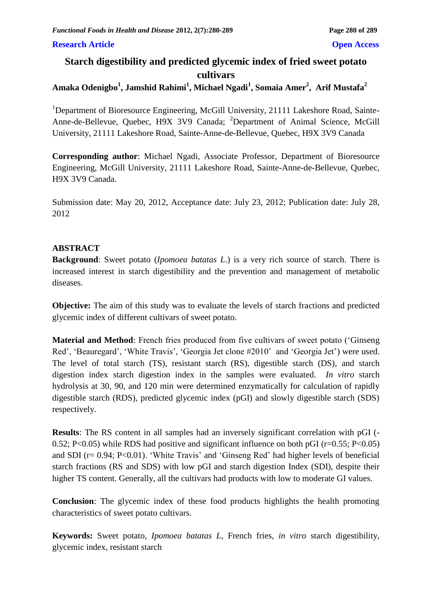#### **Research Article Open Access**

# **Starch digestibility and predicted glycemic index of fried sweet potato cultivars**

# **Amaka Odenigbo<sup>1</sup> , Jamshid Rahimi<sup>1</sup> , Michael Ngadi<sup>1</sup> , Somaia Amer<sup>2</sup> , Arif Mustafa<sup>2</sup>**

<sup>1</sup>Department of Bioresource Engineering, McGill University, 21111 Lakeshore Road, Sainte-Anne-de-Bellevue, Quebec, H9X 3V9 Canada; <sup>2</sup>Department of Animal Science, McGill University, 21111 Lakeshore Road, Sainte-Anne-de-Bellevue, Quebec, H9X 3V9 Canada

**Corresponding author**: Michael Ngadi, Associate Professor, Department of Bioresource Engineering, McGill University, 21111 Lakeshore Road, Sainte-Anne-de-Bellevue, Quebec, H9X 3V9 Canada.

Submission date: May 20, 2012, Acceptance date: July 23, 2012; Publication date: July 28, 2012

#### **ABSTRACT**

**Background**: Sweet potato (*Ipomoea batatas L*.) is a very rich source of starch. There is increased interest in starch digestibility and the prevention and management of metabolic diseases.

**Objective:** The aim of this study was to evaluate the levels of starch fractions and predicted glycemic index of different cultivars of sweet potato.

**Material and Method**: French fries produced from five cultivars of sweet potato ('Ginseng Red', 'Beauregard', 'White Travis', 'Georgia Jet clone #2010' and 'Georgia Jet') were used. The level of total starch (TS), resistant starch (RS), digestible starch (DS), and starch digestion index starch digestion index in the samples were evaluated. *In vitro* starch hydrolysis at 30, 90, and 120 min were determined enzymatically for calculation of rapidly digestible starch (RDS), predicted glycemic index (pGI) and slowly digestible starch (SDS) respectively.

**Results**: The RS content in all samples had an inversely significant correlation with pGI (- 0.52; P<0.05) while RDS had positive and significant influence on both pGI ( $r=0.55$ ; P<0.05) and SDI ( $r= 0.94$ ; P<0.01). 'White Travis' and 'Ginseng Red' had higher levels of beneficial starch fractions (RS and SDS) with low pGI and starch digestion Index (SDI), despite their higher TS content. Generally, all the cultivars had products with low to moderate GI values.

**Conclusion**: The glycemic index of these food products highlights the health promoting characteristics of sweet potato cultivars.

**Keywords:** Sweet potato, *Ipomoea batatas L*, French fries, *in vitro* starch digestibility, glycemic index, resistant starch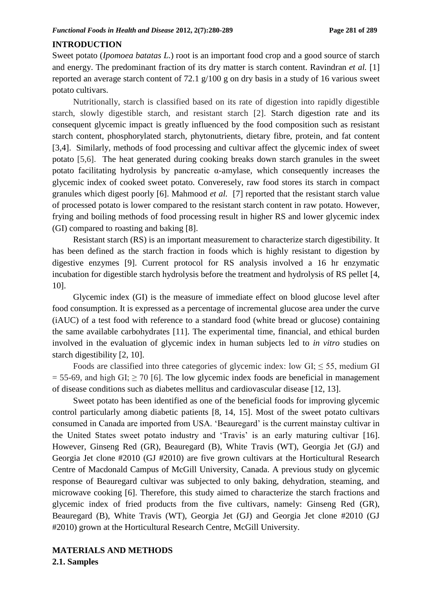#### **INTRODUCTION**

Sweet potato (*Ipomoea batatas L.*) root is an important food crop and a good source of starch and energy. The predominant fraction of its dry matter is starch content. Ravindran *et al.* [1] reported an average starch content of 72.1 g/100 g on dry basis in a study of 16 various sweet potato cultivars.

Nutritionally, starch is classified based on its rate of digestion into rapidly digestible starch, slowly digestible starch, and resistant starch [2]. Starch digestion rate and its consequent glycemic impact is greatly influenced by the food composition such as resistant starch content, phosphorylated starch, phytonutrients, dietary fibre, protein, and fat content [3,4]. Similarly, methods of food processing and cultivar affect the glycemic index of sweet potato [5,6]. The heat generated during cooking breaks down starch granules in the sweet potato facilitating hydrolysis by pancreatic α-amylase, which consequently increases the glycemic index of cooked sweet potato. Converesely, raw food stores its starch in compact granules which digest poorly [6]. Mahmood *et al.* [7] reported that the resistant starch value of processed potato is lower compared to the resistant starch content in raw potato. However, frying and boiling methods of food processing result in higher RS and lower glycemic index (GI) compared to roasting and baking [8].

Resistant starch (RS) is an important measurement to characterize starch digestibility. It has been defined as the starch fraction in foods which is highly resistant to digestion by digestive enzymes [9]. Current protocol for RS analysis involved a 16 hr enzymatic incubation for digestible starch hydrolysis before the treatment and hydrolysis of RS pellet [4, 10].

Glycemic index (GI) is the measure of immediate effect on blood glucose level after food consumption. It is expressed as a percentage of incremental glucose area under the curve (iAUC) of a test food with reference to a standard food (white bread or glucose) containing the same available carbohydrates [11]. The experimental time, financial, and ethical burden involved in the evaluation of glycemic index in human subjects led to *in vitro* studies on starch digestibility [2, 10].

Foods are classified into three categories of glycemic index: low  $GI \leq 55$ , medium GI  $= 55-69$ , and high GI;  $\geq 70$  [6]. The low glycemic index foods are beneficial in management of disease conditions such as diabetes mellitus and cardiovascular disease [12, 13].

Sweet potato has been identified as one of the beneficial foods for improving glycemic control particularly among diabetic patients [8, 14, 15]. Most of the sweet potato cultivars consumed in Canada are imported from USA. 'Beauregard' is the current mainstay cultivar in the United States sweet potato industry and 'Travis' is an early maturing cultivar [16]. However, Ginseng Red (GR), Beauregard (B), White Travis (WT), Georgia Jet (GJ) and Georgia Jet clone #2010 (GJ #2010) are five grown cultivars at the Horticultural Research Centre of Macdonald Campus of McGill University, Canada. A previous study on glycemic response of Beauregard cultivar was subjected to only baking, dehydration, steaming, and microwave cooking [6]. Therefore, this study aimed to characterize the starch fractions and glycemic index of fried products from the five cultivars, namely: Ginseng Red (GR), Beauregard (B), White Travis (WT), Georgia Jet (GJ) and Georgia Jet clone #2010 (GJ #2010) grown at the Horticultural Research Centre, McGill University.

#### **MATERIALS AND METHODS**

**2.1. Samples**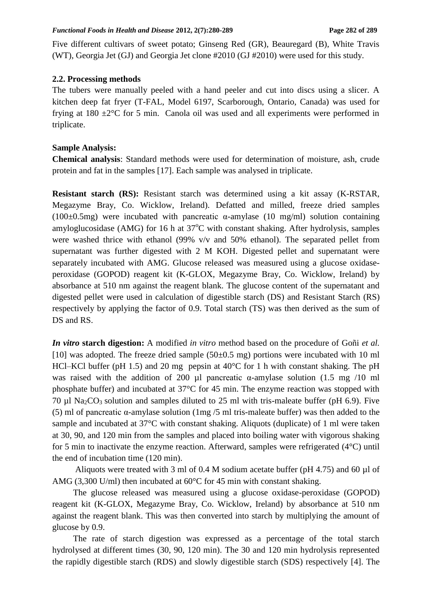Five different cultivars of sweet potato; Ginseng Red (GR), Beauregard (B), White Travis (WT), Georgia Jet (GJ) and Georgia Jet clone #2010 (GJ #2010) were used for this study.

### **2.2. Processing methods**

The tubers were manually peeled with a hand peeler and cut into discs using a slicer. A kitchen deep fat fryer (T-FAL, Model 6197, Scarborough, Ontario, Canada) was used for frying at  $180 \pm 2^{\circ}$ C for 5 min. Canola oil was used and all experiments were performed in triplicate.

### **Sample Analysis:**

**Chemical analysis**: Standard methods were used for determination of moisture, ash, crude protein and fat in the samples [17]. Each sample was analysed in triplicate.

**Resistant starch (RS):** Resistant starch was determined using a kit assay (K-RSTAR, Megazyme Bray, Co. Wicklow, Ireland). Defatted and milled, freeze dried samples (100 $\pm$ 0.5mg) were incubated with pancreatic  $\alpha$ -amylase (10 mg/ml) solution containing amyloglucosidase (AMG) for 16 h at  $37^{\circ}$ C with constant shaking. After hydrolysis, samples were washed thrice with ethanol (99% v/v and 50% ethanol). The separated pellet from supernatant was further digested with 2 M KOH. Digested pellet and supernatant were separately incubated with AMG. Glucose released was measured using a glucose oxidaseperoxidase (GOPOD) reagent kit (K-GLOX, Megazyme Bray, Co. Wicklow, Ireland) by absorbance at 510 nm against the reagent blank. The glucose content of the supernatant and digested pellet were used in calculation of digestible starch (DS) and Resistant Starch (RS) respectively by applying the factor of 0.9. Total starch (TS) was then derived as the sum of DS and RS.

*In vitro* **starch digestion:** A modified *in vitro* method based on the procedure of Goñi *et al.*  [10] was adopted. The freeze dried sample  $(50\pm0.5 \text{ mg})$  portions were incubated with 10 ml HCl–KCl buffer (pH 1.5) and 20 mg pepsin at  $40^{\circ}$ C for 1 h with constant shaking. The pH was raised with the addition of 200  $\mu$ l pancreatic  $\alpha$ -amylase solution (1.5 mg /10 ml phosphate buffer) and incubated at 37°C for 45 min. The enzyme reaction was stopped with 70 ul Na<sub>2</sub>CO<sub>3</sub> solution and samples diluted to 25 ml with tris-maleate buffer (pH 6.9). Five (5) ml of pancreatic α-amylase solution (1mg /5 ml tris-maleate buffer) was then added to the sample and incubated at 37°C with constant shaking. Aliquots (duplicate) of 1 ml were taken at 30, 90, and 120 min from the samples and placed into boiling water with vigorous shaking for 5 min to inactivate the enzyme reaction. Afterward, samples were refrigerated (4°C) until the end of incubation time (120 min).

Aliquots were treated with 3 ml of 0.4 M sodium acetate buffer (pH 4.75) and 60 µl of AMG (3,300 U/ml) then incubated at 60<sup>o</sup>C for 45 min with constant shaking.

The glucose released was measured using a glucose oxidase-peroxidase (GOPOD) reagent kit (K-GLOX, Megazyme Bray, Co. Wicklow, Ireland) by absorbance at 510 nm against the reagent blank. This was then converted into starch by multiplying the amount of glucose by 0.9.

The rate of starch digestion was expressed as a percentage of the total starch hydrolysed at different times (30, 90, 120 min). The 30 and 120 min hydrolysis represented the rapidly digestible starch (RDS) and slowly digestible starch (SDS) respectively [4]. The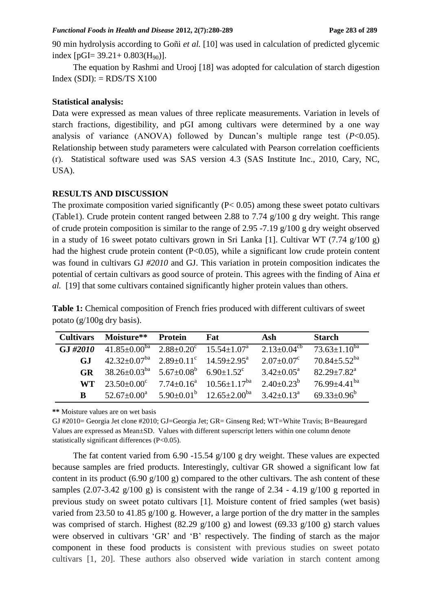90 min hydrolysis according to Goñi *et al.* [10] was used in calculation of predicted glycemic index  $[pGI= 39.21 + 0.803(H_{90})]$ .

The equation by Rashmi and Urooj [18] was adopted for calculation of starch digestion  $Index (SDI): = RDS/TS X100$ 

#### **Statistical analysis:**

Data were expressed as mean values of three replicate measurements. Variation in levels of starch fractions, digestibility, and pGI among cultivars were determined by a one way analysis of variance (ANOVA) followed by Duncan's multiple range test (*P*<0.05). Relationship between study parameters were calculated with Pearson correlation coefficients (ґ). Statistical software used was SAS version 4.3 (SAS Institute Inc., 2010, Cary, NC, USA).

#### **RESULTS AND DISCUSSION**

The proximate composition varied significantly  $(P< 0.05)$  among these sweet potato cultivars (Table1). Crude protein content ranged between 2.88 to 7.74 g/100 g dry weight. This range of crude protein composition is similar to the range of 2.95 -7.19 g/100 g dry weight observed in a study of 16 sweet potato cultivars grown in Sri Lanka [1]. Cultivar WT (7.74  $g/100 g$ ) had the highest crude protein content (P<0.05), while a significant low crude protein content was found in cultivars GJ *#2010* and GJ. This variation in protein composition indicates the potential of certain cultivars as good source of protein. This agrees with the finding of Aina *et al.* [19] that some cultivars contained significantly higher protein values than others.

|                               | <b>Table 1:</b> Chemical composition of French fries produced with different cultivars of sweet |
|-------------------------------|-------------------------------------------------------------------------------------------------|
| potato $(g/100g)$ dry basis). |                                                                                                 |

| <b>Cultivars</b> | Moisture**                                                          | Protein | <b>Fat</b>                                                           | Ash                           | <b>Starch</b>                                    |
|------------------|---------------------------------------------------------------------|---------|----------------------------------------------------------------------|-------------------------------|--------------------------------------------------|
| GJ#2010          | $41.85\pm0.00^{ba}$ $2.88\pm0.20^c$ $15.54\pm1.07^a$                |         |                                                                      | 2.13 $\pm$ 0.04 <sup>cb</sup> | $73.63 \pm 1.10^{ba}$                            |
| GJ.              | $42.32 \pm 0.07^{ba}$ $2.89 \pm 0.11^{c}$ $14.59 \pm 2.95^{a}$      |         |                                                                      |                               | $2.07 \pm 0.07^c$ 70.84 $\pm$ 5.52 <sup>ba</sup> |
| <b>GR</b>        | $38.26 \pm 0.03^{ba}$ $5.67 \pm 0.08^b$ $6.90 \pm 1.52^c$           |         |                                                                      | $3.42 \pm 0.05^{\text{a}}$    | $82.29 + 7.82^a$                                 |
| <b>WT</b>        | $23.50\pm0.00^{\circ}$ $7.74\pm0.16^{\circ}$ $10.56\pm1.17^{\circ}$ |         |                                                                      | $2.40\pm0.23^b$               | $76.99 + 4.41$ <sup>ba</sup>                     |
| B                |                                                                     |         | $52.67\pm0.00^a$ $5.90\pm0.01^b$ $12.65\pm2.00^{ba}$ $3.42\pm0.13^a$ |                               | $69.33 \pm 0.96^b$                               |

**\*\*** Moisture values are on wet basis

GJ #2010= Georgia Jet clone #2010; GJ=Georgia Jet; GR= Ginseng Red; WT=White Travis; B=Beauregard Values are expressed as Mean±SD. Values with different superscript letters within one column denote statistically significant differences (P<0.05).

The fat content varied from 6.90 -15.54 g/100 g dry weight. These values are expected because samples are fried products. Interestingly, cultivar GR showed a significant low fat content in its product  $(6.90 \text{ g}/100 \text{ g})$  compared to the other cultivars. The ash content of these samples (2.07-3.42 g/100 g) is consistent with the range of 2.34 - 4.19 g/100 g reported in previous study on sweet potato cultivars [1]. Moisture content of fried samples (wet basis) varied from 23.50 to 41.85 g/100 g. However, a large portion of the dry matter in the samples was comprised of starch. Highest (82.29 g/100 g) and lowest (69.33 g/100 g) starch values were observed in cultivars 'GR' and 'B' respectively. The finding of starch as the major component in these food products is consistent with previous studies on sweet potato cultivars [1, 20]. These authors also observed wide variation in starch content among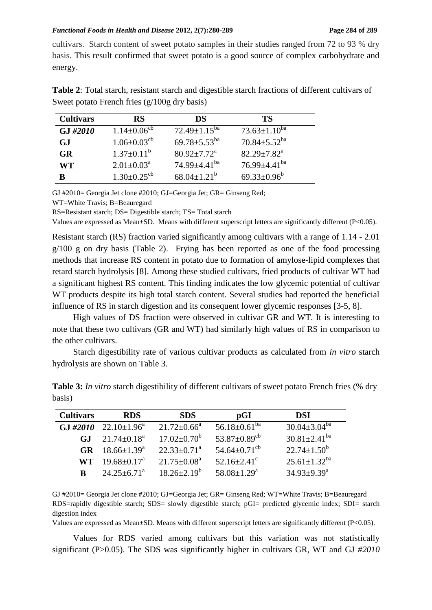cultivars. Starch content of sweet potato samples in their studies ranged from 72 to 93 % dry basis. This result confirmed that sweet potato is a good source of complex carbohydrate and energy.

| <b>Cultivars</b> | <b>RS</b>                     | DS.                            | TS.                            |
|------------------|-------------------------------|--------------------------------|--------------------------------|
| GJ #2010         | $1.14 \pm 0.06^{\rm cb}$      | $72.49 \pm 1.15^{ba}$          | $73.63 \pm 1.10^{ba}$          |
| <b>GJ</b>        | $1.06 \pm 0.03$ <sup>cb</sup> | 69.78 $\pm$ 5.53 <sup>ba</sup> | $70.84 \pm 5.52$ <sup>ba</sup> |
| <b>GR</b>        | $1.37 \pm 0.11^b$             | $80.92 \pm 7.72$ <sup>a</sup>  | $82.29 \pm 7.82^{\text{a}}$    |
| WT               | $2.01 \pm 0.03^{\text{a}}$    | 74.99 $\pm$ 4.41 <sup>ba</sup> | 76.99 $\pm$ 4.41 <sup>ba</sup> |
| R                | $1.30 \pm 0.25$ <sup>cb</sup> | $68.04 \pm 1.21^b$             | $69.33 \pm 0.96^b$             |

**Table 2**: Total starch, resistant starch and digestible starch fractions of different cultivars of Sweet potato French fries (g/100g dry basis)

GJ #2010= Georgia Jet clone #2010; GJ=Georgia Jet; GR= Ginseng Red;

WT=White Travis; B=Beauregard

RS=Resistant starch; DS= Digestible starch; TS= Total starch

Values are expressed as Mean±SD. Means with different superscript letters are significantly different (P<0.05).

Resistant starch (RS) fraction varied significantly among cultivars with a range of 1.14 - 2.01 g/100 g on dry basis (Table 2). Frying has been reported as one of the food processing methods that increase RS content in potato due to formation of amylose-lipid complexes that retard starch hydrolysis [8]. Among these studied cultivars, fried products of cultivar WT had a significant highest RS content. This finding indicates the low glycemic potential of cultivar WT products despite its high total starch content. Several studies had reported the beneficial influence of RS in starch digestion and its consequent lower glycemic responses [3-5, 8].

High values of DS fraction were observed in cultivar GR and WT. It is interesting to note that these two cultivars (GR and WT) had similarly high values of RS in comparison to the other cultivars.

Starch digestibility rate of various cultivar products as calculated from *in vitro* starch hydrolysis are shown on Table 3.

| <b>Cultivars</b> | <b>RDS</b>                  | <b>SDS</b>                  | $\mathbf{p}$ GI                | DSI                            |
|------------------|-----------------------------|-----------------------------|--------------------------------|--------------------------------|
| $GJ \#2010$      | $22.10 \pm 1.96^{\circ}$    | $21.72 \pm 0.66^{\circ}$    | 56.18 $\pm$ 0.61 <sup>ba</sup> | $30.04 \pm 3.04$ <sup>ba</sup> |
| G.I              | $21.74 \pm 0.18^a$          | $17.02 \pm 0.70^b$          | 53.87 $\pm$ 0.89 <sup>cb</sup> | $30.81 \pm 2.41^{ba}$          |
| GR.              | $18.66 \pm 1.39^{\text{a}}$ | $22.33 \pm 0.71^a$          | $54.64 \pm 0.71^{\text{cb}}$   | $22.74 \pm 1.50^b$             |
| WT.              | $19.68 \pm 0.17^{\text{a}}$ | $21.75 \pm 0.08^{\text{a}}$ | $52.16 \pm 2.41$ <sup>c</sup>  | $25.61 \pm 1.32$ <sup>ba</sup> |
| R                | $24.25 \pm 6.71^{\circ}$    | $18.26 \pm 2.19^b$          | $58.08 \pm 1.29$ <sup>a</sup>  | $34.93 \pm 9.39$ <sup>a</sup>  |

**Table 3:** *In vitro* starch digestibility of different cultivars of sweet potato French fries (% dry basis)

GJ #2010= Georgia Jet clone #2010; GJ=Georgia Jet; GR= Ginseng Red; WT=White Travis; B=Beauregard RDS=rapidly digestible starch; SDS= slowly digestible starch; pGI= predicted glycemic index; SDI= starch digestion index

Values are expressed as Mean±SD. Means with different superscript letters are significantly different (P<0.05).

Values for RDS varied among cultivars but this variation was not statistically significant (P>0.05). The SDS was significantly higher in cultivars GR, WT and GJ *#2010*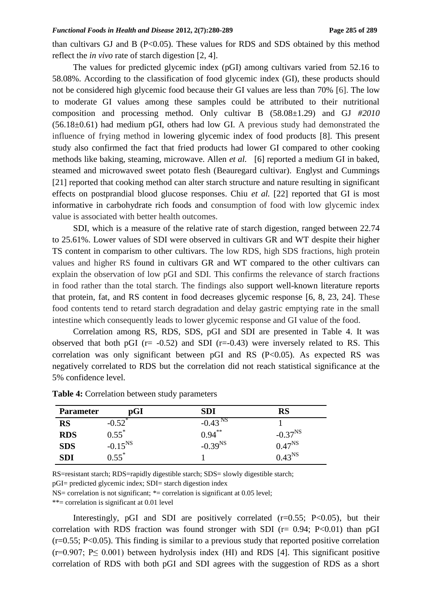than cultivars GJ and B  $(P<0.05)$ . These values for RDS and SDS obtained by this method reflect the *in vivo* rate of starch digestion [2, 4].

The values for predicted glycemic index (pGI) among cultivars varied from 52.16 to 58.08%. According to the classification of food glycemic index (GI), these products should not be considered high glycemic food because their GI values are less than 70% [6]. The low to moderate GI values among these samples could be attributed to their nutritional composition and processing method. Only cultivar B (58.08±1.29) and GJ *#2010* (56.18±0.61) had medium pGI, others had low GI. A previous study had demonstrated the influence of frying method in lowering glycemic index of food products [8]. This present study also confirmed the fact that fried products had lower GI compared to other cooking methods like baking, steaming, microwave. Allen *et al.* [6] reported a medium GI in baked, steamed and microwaved sweet potato flesh (Beauregard cultivar). Englyst and Cummings [21] reported that cooking method can alter starch structure and nature resulting in significant effects on postprandial blood glucose responses. Chiu *et al.* [22] reported that GI is most informative in carbohydrate rich foods and consumption of food with low glycemic index value is associated with better health outcomes.

SDI, which is a measure of the relative rate of starch digestion, ranged between 22.74 to 25.61%. Lower values of SDI were observed in cultivars GR and WT despite their higher TS content in comparism to other cultivars. The low RDS, high SDS fractions, high protein values and higher RS found in cultivars GR and WT compared to the other cultivars can explain the observation of low pGI and SDI. This confirms the relevance of starch fractions in food rather than the total starch. The findings also support well-known literature reports that protein, fat, and RS content in food decreases glycemic response [6, 8, 23, 24]. These food contents tend to retard starch degradation and delay gastric emptying rate in the small intestine which consequently leads to lower glycemic response and GI value of the food.

Correlation among RS, RDS, SDS, pGI and SDI are presented in Table 4. It was observed that both pGI ( $r = -0.52$ ) and SDI ( $r = -0.43$ ) were inversely related to RS. This correlation was only significant between pGI and RS  $(P<0.05)$ . As expected RS was negatively correlated to RDS but the correlation did not reach statistical significance at the 5% confidence level.

| <b>Parameter</b> | $\mathbf{p}\mathbf{G}\mathbf{I}$ | SDI                   | RS           |
|------------------|----------------------------------|-----------------------|--------------|
| <b>RS</b>        | $-0.52$ <sup>*</sup>             | $-0.43$ <sup>NS</sup> |              |
| <b>RDS</b>       | $0.55^{*}$                       | $0.94***$             | $-0.37^{NS}$ |
| <b>SDS</b>       | $-0.15^{NS}$                     | $-0.39^{NS}$          | $0.47^{NS}$  |
| <b>SDI</b>       | $0.55^*$                         |                       | $0.43^{NS}$  |

**Table 4:** Correlation between study parameters

RS=resistant starch; RDS=rapidly digestible starch; SDS= slowly digestible starch;

pGI= predicted glycemic index; SDI= starch digestion index

NS= correlation is not significant; \*= correlation is significant at 0.05 level;

\*\*= correlation is significant at 0.01 level

Interestingly, pGI and SDI are positively correlated  $(r=0.55; P<0.05)$ , but their correlation with RDS fraction was found stronger with SDI ( $r = 0.94$ ; P $< 0.01$ ) than pGI (r=0.55; P<0.05). This finding is similar to a previous study that reported positive correlation  $(r=0.907; P\leq 0.001)$  between hydrolysis index (HI) and RDS [4]. This significant positive correlation of RDS with both pGI and SDI agrees with the suggestion of RDS as a short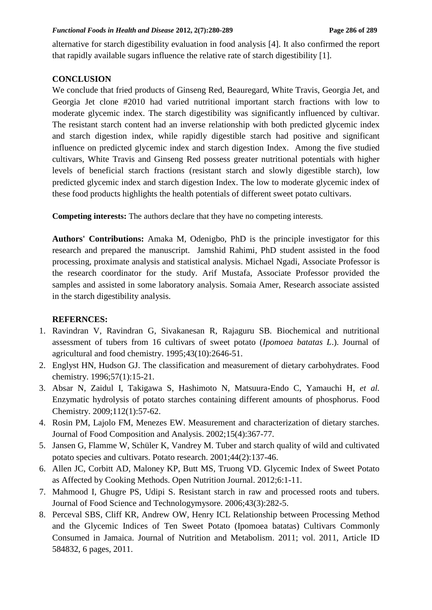alternative for starch digestibility evaluation in food analysis [4]. It also confirmed the report that rapidly available sugars influence the relative rate of starch digestibility [1].

## **CONCLUSION**

We conclude that fried products of Ginseng Red, Beauregard, White Travis, Georgia Jet, and Georgia Jet clone #2010 had varied nutritional important starch fractions with low to moderate glycemic index. The starch digestibility was significantly influenced by cultivar. The resistant starch content had an inverse relationship with both predicted glycemic index and starch digestion index, while rapidly digestible starch had positive and significant influence on predicted glycemic index and starch digestion Index. Among the five studied cultivars, White Travis and Ginseng Red possess greater nutritional potentials with higher levels of beneficial starch fractions (resistant starch and slowly digestible starch), low predicted glycemic index and starch digestion Index. The low to moderate glycemic index of these food products highlights the health potentials of different sweet potato cultivars.

**Competing interests:** The authors declare that they have no competing interests.

**Authors' Contributions:** Amaka M, Odenigbo, PhD is the principle investigator for this research and prepared the manuscript. Jamshid Rahimi, PhD student assisted in the food processing, proximate analysis and statistical analysis. Michael Ngadi, Associate Professor is the research coordinator for the study. Arif Mustafa, Associate Professor provided the samples and assisted in some laboratory analysis. Somaia Amer, Research associate assisted in the starch digestibility analysis.

# **REFERNCES:**

- 1. Ravindran V, Ravindran G, Sivakanesan R, Rajaguru SB. Biochemical and nutritional assessment of tubers from 16 cultivars of sweet potato (*Ipomoea batatas L*.). Journal of agricultural and food chemistry. 1995;43(10):2646-51.
- 2. Englyst HN, Hudson GJ. The classification and measurement of dietary carbohydrates. Food chemistry. 1996;57(1):15-21.
- 3. Absar N, Zaidul I, Takigawa S, Hashimoto N, Matsuura-Endo C, Yamauchi H, *et al.*  Enzymatic hydrolysis of potato starches containing different amounts of phosphorus. Food Chemistry. 2009;112(1):57-62.
- 4. Rosin PM, Lajolo FM, Menezes EW. Measurement and characterization of dietary starches. Journal of Food Composition and Analysis. 2002;15(4):367-77.
- 5. Jansen G, Flamme W, Schüler K, Vandrey M. Tuber and starch quality of wild and cultivated potato species and cultivars. Potato research. 2001;44(2):137-46.
- 6. Allen JC, Corbitt AD, Maloney KP, Butt MS, Truong VD. Glycemic Index of Sweet Potato as Affected by Cooking Methods. Open Nutrition Journal. 2012;6:1-11.
- 7. Mahmood I, Ghugre PS, Udipi S. Resistant starch in raw and processed roots and tubers. Journal of Food Science and Technologymysore. 2006;43(3):282-5.
- 8. Perceval SBS, Cliff KR, Andrew OW, Henry ICL Relationship between Processing Method and the Glycemic Indices of Ten Sweet Potato (Ipomoea batatas) Cultivars Commonly Consumed in Jamaica. Journal of Nutrition and Metabolism. 2011; vol. 2011, Article ID 584832, 6 pages, 2011.